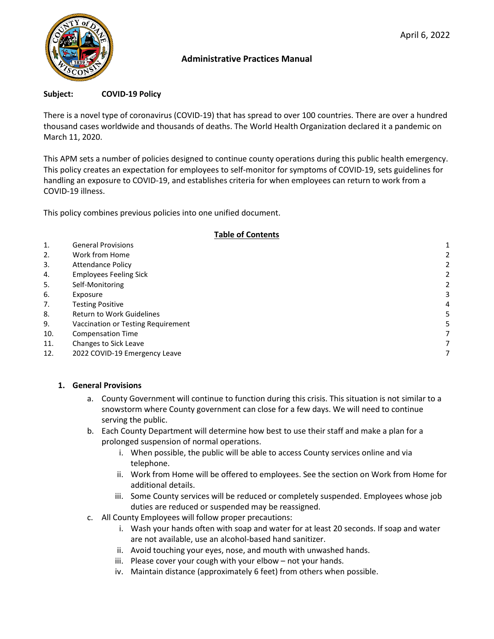

## **Administrative Practices Manual**

#### **Subject: COVID-19 Policy**

There is a novel type of coronavirus (COVID-19) that has spread to over 100 countries. There are over a hundred thousand cases worldwide and thousands of deaths. The World Health Organization declared it a pandemic on March 11, 2020.

This APM sets a number of policies designed to continue county operations during this public health emergency. This policy creates an expectation for employees to self-monitor for symptoms of COVID-19, sets guidelines for handling an exposure to COVID-19, and establishes criteria for when employees can return to work from a COVID-19 illness.

This policy combines previous policies into one unified document.

#### **Table of Contents**

| 1.  | <b>General Provisions</b>          |   |
|-----|------------------------------------|---|
| 2.  | Work from Home                     |   |
| 3.  | <b>Attendance Policy</b>           | 2 |
| 4.  | <b>Employees Feeling Sick</b>      | 2 |
| 5.  | Self-Monitoring                    | 2 |
| 6.  | Exposure                           | 3 |
| 7.  | <b>Testing Positive</b>            | 4 |
| 8.  | <b>Return to Work Guidelines</b>   |   |
| 9.  | Vaccination or Testing Requirement |   |
| 10. | <b>Compensation Time</b>           |   |
| 11. | Changes to Sick Leave              |   |
| 12. | 2022 COVID-19 Emergency Leave      |   |

### <span id="page-0-0"></span>**1. General Provisions**

- a. County Government will continue to function during this crisis. This situation is not similar to a snowstorm where County government can close for a few days. We will need to continue serving the public.
- b. Each County Department will determine how best to use their staff and make a plan for a prolonged suspension of normal operations.
	- i. When possible, the public will be able to access County services online and via telephone.
	- ii. Work from Home will be offered to employees. See the section on Work from Home for additional details.
	- iii. Some County services will be reduced or completely suspended. Employees whose job duties are reduced or suspended may be reassigned.
- c. All County Employees will follow proper precautions:
	- i. Wash your hands often with soap and water for at least 20 seconds. If soap and water are not available, use an alcohol-based hand sanitizer.
	- ii. Avoid touching your eyes, nose, and mouth with unwashed hands.
	- iii. Please cover your cough with your elbow not your hands.
	- iv. Maintain distance (approximately 6 feet) from others when possible.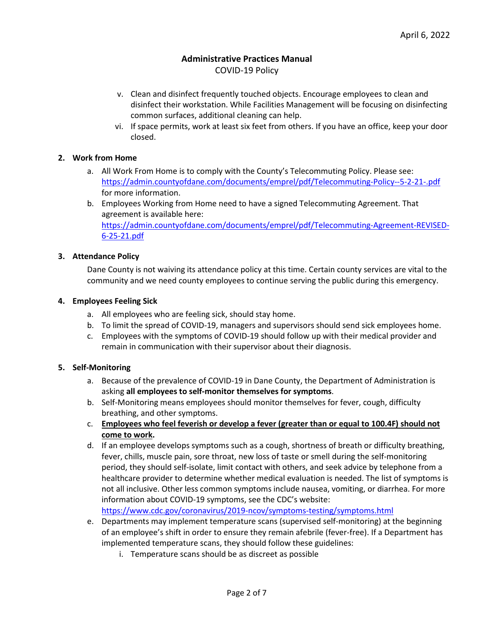# **Administrative Practices Manual**

COVID-19 Policy

- v. Clean and disinfect frequently touched objects. Encourage employees to clean and disinfect their workstation. While Facilities Management will be focusing on disinfecting common surfaces, additional cleaning can help.
- vi. If space permits, work at least six feet from others. If you have an office, keep your door closed.

#### <span id="page-1-0"></span>**2. Work from Home**

- a. All Work From Home is to comply with the County's Telecommuting Policy. Please see: <https://admin.countyofdane.com/documents/emprel/pdf/Telecommuting-Policy--5-2-21-.pdf> for more information.
- b. Employees Working from Home need to have a signed Telecommuting Agreement. That agreement is available here: [https://admin.countyofdane.com/documents/emprel/pdf/Telecommuting-Agreement-REVISED-](https://admin.countyofdane.com/documents/emprel/pdf/Telecommuting-Agreement-REVISED-6-25-21.pdf)[6-25-21.pdf](https://admin.countyofdane.com/documents/emprel/pdf/Telecommuting-Agreement-REVISED-6-25-21.pdf)

#### <span id="page-1-1"></span>**3. Attendance Policy**

Dane County is not waiving its attendance policy at this time. Certain county services are vital to the community and we need county employees to continue serving the public during this emergency.

#### <span id="page-1-2"></span>**4. Employees Feeling Sick**

- a. All employees who are feeling sick, should stay home.
- b. To limit the spread of COVID-19, managers and supervisors should send sick employees home.
- c. Employees with the symptoms of COVID-19 should follow up with their medical provider and remain in communication with their supervisor about their diagnosis.

#### <span id="page-1-3"></span>**5. Self-Monitoring**

- a. Because of the prevalence of COVID-19 in Dane County, the Department of Administration is asking **all employees to self-monitor themselves for symptoms**.
- b. Self-Monitoring means employees should monitor themselves for fever, cough, difficulty breathing, and other symptoms.
- c. **Employees who feel feverish or develop a fever (greater than or equal to 100.4F) should not come to work.**
- d. If an employee develops symptoms such as a cough, shortness of breath or difficulty breathing, fever, chills, muscle pain, sore throat, new loss of taste or smell during the self-monitoring period, they should self-isolate, limit contact with others, and seek advice by telephone from a healthcare provider to determine whether medical evaluation is needed. The list of symptoms is not all inclusive. Other less common symptoms include nausea, vomiting, or diarrhea. For more information about COVID-19 symptoms, see the CDC's website:

<https://www.cdc.gov/coronavirus/2019-ncov/symptoms-testing/symptoms.html>

- e. Departments may implement temperature scans (supervised self-monitoring) at the beginning of an employee's shift in order to ensure they remain afebrile (fever-free). If a Department has implemented temperature scans, they should follow these guidelines:
	- i. Temperature scans should be as discreet as possible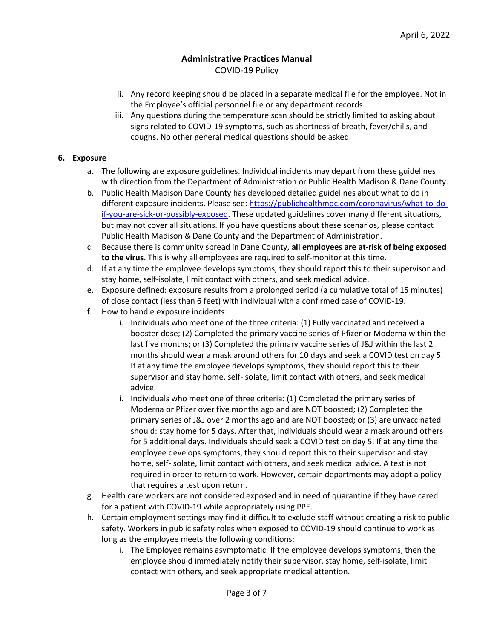- ii. Any record keeping should be placed in a separate medical file for the employee. Not in the Employee's official personnel file or any department records.
- iii. Any questions during the temperature scan should be strictly limited to asking about signs related to COVID-19 symptoms, such as shortness of breath, fever/chills, and coughs. No other general medical questions should be asked.

### <span id="page-2-0"></span>**6. Exposure**

- a. The following are exposure guidelines. Individual incidents may depart from these guidelines with direction from the Department of Administration or Public Health Madison & Dane County.
- b. Public Health Madison Dane County has developed detailed guidelines about what to do in different exposure incidents. Please see: [https://publichealthmdc.com/coronavirus/what-to-do](https://publichealthmdc.com/coronavirus/what-to-do-if-you-are-sick-or-possibly-exposed)[if-you-are-sick-or-possibly-exposed.](https://publichealthmdc.com/coronavirus/what-to-do-if-you-are-sick-or-possibly-exposed) These updated guidelines cover many different situations, but may not cover all situations. If you have questions about these scenarios, please contact Public Health Madison & Dane County and the Department of Administration.
- c. Because there is community spread in Dane County, **all employees are at-risk of being exposed to the virus**. This is why all employees are required to self-monitor at this time.
- d. If at any time the employee develops symptoms, they should report this to their supervisor and stay home, self-isolate, limit contact with others, and seek medical advice.
- e. Exposure defined: exposure results from a prolonged period (a cumulative total of 15 minutes) of close contact (less than 6 feet) with individual with a confirmed case of COVID-19.
- f. How to handle exposure incidents:
	- i. Individuals who meet one of the three criteria: (1) Fully vaccinated and received a booster dose; (2) Completed the primary vaccine series of Pfizer or Moderna within the last five months; or (3) Completed the primary vaccine series of J&J within the last 2 months should wear a mask around others for 10 days and seek a COVID test on day 5. If at any time the employee develops symptoms, they should report this to their supervisor and stay home, self-isolate, limit contact with others, and seek medical advice.
	- ii. Individuals who meet one of three criteria: (1) Completed the primary series of Moderna or Pfizer over five months ago and are NOT boosted; (2) Completed the primary series of J&J over 2 months ago and are NOT boosted; or (3) are unvaccinated should: stay home for 5 days. After that, individuals should wear a mask around others for 5 additional days. Individuals should seek a COVID test on day 5. If at any time the employee develops symptoms, they should report this to their supervisor and stay home, self-isolate, limit contact with others, and seek medical advice. A test is not required in order to return to work. However, certain departments may adopt a policy that requires a test upon return.
- g. Health care workers are not considered exposed and in need of quarantine if they have cared for a patient with COVID-19 while appropriately using PPE.
- h. Certain employment settings may find it difficult to exclude staff without creating a risk to public safety. Workers in public safety roles when exposed to COVID-19 should continue to work as long as the employee meets the following conditions:
	- i. The Employee remains asymptomatic. If the employee develops symptoms, then the employee should immediately notify their supervisor, stay home, self-isolate, limit contact with others, and seek appropriate medical attention.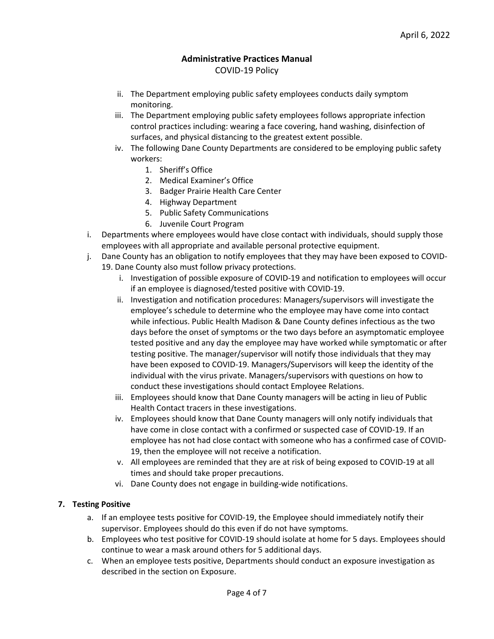- ii. The Department employing public safety employees conducts daily symptom monitoring.
- iii. The Department employing public safety employees follows appropriate infection control practices including: wearing a face covering, hand washing, disinfection of surfaces, and physical distancing to the greatest extent possible.
- iv. The following Dane County Departments are considered to be employing public safety workers:
	- 1. Sheriff's Office
	- 2. Medical Examiner's Office
	- 3. Badger Prairie Health Care Center
	- 4. Highway Department
	- 5. Public Safety Communications
	- 6. Juvenile Court Program
- i. Departments where employees would have close contact with individuals, should supply those employees with all appropriate and available personal protective equipment.
- j. Dane County has an obligation to notify employees that they may have been exposed to COVID-19. Dane County also must follow privacy protections.
	- i. Investigation of possible exposure of COVID-19 and notification to employees will occur if an employee is diagnosed/tested positive with COVID-19.
	- ii. Investigation and notification procedures: Managers/supervisors will investigate the employee's schedule to determine who the employee may have come into contact while infectious. Public Health Madison & Dane County defines infectious as the two days before the onset of symptoms or the two days before an asymptomatic employee tested positive and any day the employee may have worked while symptomatic or after testing positive. The manager/supervisor will notify those individuals that they may have been exposed to COVID-19. Managers/Supervisors will keep the identity of the individual with the virus private. Managers/supervisors with questions on how to conduct these investigations should contact Employee Relations.
	- iii. Employees should know that Dane County managers will be acting in lieu of Public Health Contact tracers in these investigations.
	- iv. Employees should know that Dane County managers will only notify individuals that have come in close contact with a confirmed or suspected case of COVID-19. If an employee has not had close contact with someone who has a confirmed case of COVID-19, then the employee will not receive a notification.
	- v. All employees are reminded that they are at risk of being exposed to COVID-19 at all times and should take proper precautions.
	- vi. Dane County does not engage in building-wide notifications.

### <span id="page-3-0"></span>**7. Testing Positive**

- a. If an employee tests positive for COVID-19, the Employee should immediately notify their supervisor. Employees should do this even if do not have symptoms.
- b. Employees who test positive for COVID-19 should isolate at home for 5 days. Employees should continue to wear a mask around others for 5 additional days.
- c. When an employee tests positive, Departments should conduct an exposure investigation as described in the section on Exposure.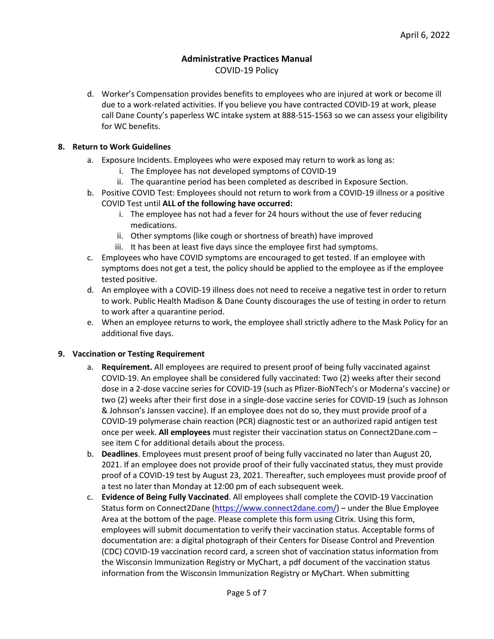## **Administrative Practices Manual**

COVID-19 Policy

d. Worker's Compensation provides benefits to employees who are injured at work or become ill due to a work-related activities. If you believe you have contracted COVID-19 at work, please call Dane County's paperless WC intake system at 888-515-1563 so we can assess your eligibility for WC benefits.

#### <span id="page-4-0"></span>**8. Return to Work Guidelines**

- a. Exposure Incidents. Employees who were exposed may return to work as long as:
	- i. The Employee has not developed symptoms of COVID-19
	- ii. The quarantine period has been completed as described in Exposure Section.
- b. Positive COVID Test: Employees should not return to work from a COVID-19 illness or a positive COVID Test until **ALL of the following have occurred:**
	- i. The employee has not had a fever for 24 hours without the use of fever reducing medications.
	- ii. Other symptoms (like cough or shortness of breath) have improved
	- iii. It has been at least five days since the employee first had symptoms.
- c. Employees who have COVID symptoms are encouraged to get tested. If an employee with symptoms does not get a test, the policy should be applied to the employee as if the employee tested positive.
- d. An employee with a COVID-19 illness does not need to receive a negative test in order to return to work. Public Health Madison & Dane County discourages the use of testing in order to return to work after a quarantine period.
- e. When an employee returns to work, the employee shall strictly adhere to the Mask Policy for an additional five days.

#### <span id="page-4-1"></span>**9. Vaccination or Testing Requirement**

- a. **Requirement.** All employees are required to present proof of being fully vaccinated against COVID-19. An employee shall be considered fully vaccinated: Two (2) weeks after their second dose in a 2-dose vaccine series for COVID-19 (such as Pfizer-BioNTech's or Moderna's vaccine) or two (2) weeks after their first dose in a single-dose vaccine series for COVID-19 (such as Johnson & Johnson's Janssen vaccine). If an employee does not do so, they must provide proof of a COVID-19 polymerase chain reaction (PCR) diagnostic test or an authorized rapid antigen test once per week. **All employees** must register their vaccination status on Connect2Dane.com – see item C for additional details about the process.
- b. **Deadlines**. Employees must present proof of being fully vaccinated no later than August 20, 2021. If an employee does not provide proof of their fully vaccinated status, they must provide proof of a COVID-19 test by August 23, 2021. Thereafter, such employees must provide proof of a test no later than Monday at 12:00 pm of each subsequent week.
- c. **Evidence of Being Fully Vaccinated**. All employees shall complete the COVID-19 Vaccination Status form on Connect2Dane [\(https://www.connect2dane.com/\)](https://www.connect2dane.com/) – under the Blue Employee Area at the bottom of the page. Please complete this form using Citrix. Using this form, employees will submit documentation to verify their vaccination status. Acceptable forms of documentation are: a digital photograph of their Centers for Disease Control and Prevention (CDC) COVID-19 vaccination record card, a screen shot of vaccination status information from the Wisconsin Immunization Registry or MyChart, a pdf document of the vaccination status information from the Wisconsin Immunization Registry or MyChart. When submitting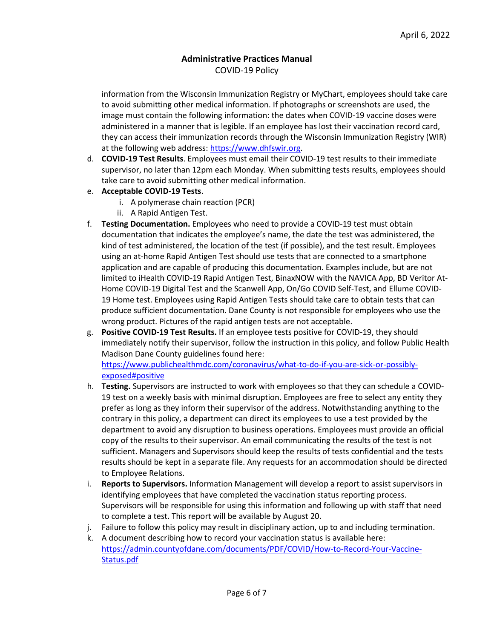information from the Wisconsin Immunization Registry or MyChart, employees should take care to avoid submitting other medical information. If photographs or screenshots are used, the image must contain the following information: the dates when COVID-19 vaccine doses were administered in a manner that is legible. If an employee has lost their vaccination record card, they can access their immunization records through the Wisconsin Immunization Registry (WIR) at the following web address[: https://www.dhfswir.org.](https://www.dhfswir.org/)

- d. **COVID-19 Test Results**. Employees must email their COVID-19 test results to their immediate supervisor, no later than 12pm each Monday. When submitting tests results, employees should take care to avoid submitting other medical information.
- e. **Acceptable COVID-19 Tests**.
	- i. A polymerase chain reaction (PCR)
	- ii. A Rapid Antigen Test.
- f. **Testing Documentation.** Employees who need to provide a COVID-19 test must obtain documentation that indicates the employee's name, the date the test was administered, the kind of test administered, the location of the test (if possible), and the test result. Employees using an at-home Rapid Antigen Test should use tests that are connected to a smartphone application and are capable of producing this documentation. Examples include, but are not limited to iHealth COVID-19 Rapid Antigen Test, BinaxNOW with the NAVICA App, BD Veritor At-Home COVID-19 Digital Test and the Scanwell App, On/Go COVID Self-Test, and Ellume COVID-19 Home test. Employees using Rapid Antigen Tests should take care to obtain tests that can produce sufficient documentation. Dane County is not responsible for employees who use the wrong product. Pictures of the rapid antigen tests are not acceptable.
- g. **Positive COVID-19 Test Results.** If an employee tests positive for COVID-19, they should immediately notify their supervisor, follow the instruction in this policy, and follow Public Health Madison Dane County guidelines found here: [https://www.publichealthmdc.com/coronavirus/what-to-do-if-you-are-sick-or-possibly](https://www.publichealthmdc.com/coronavirus/what-to-do-if-you-are-sick-or-possibly-exposed#positive)[exposed#positive](https://www.publichealthmdc.com/coronavirus/what-to-do-if-you-are-sick-or-possibly-exposed#positive)
- h. **Testing.** Supervisors are instructed to work with employees so that they can schedule a COVID-19 test on a weekly basis with minimal disruption. Employees are free to select any entity they prefer as long as they inform their supervisor of the address. Notwithstanding anything to the contrary in this policy, a department can direct its employees to use a test provided by the department to avoid any disruption to business operations. Employees must provide an official copy of the results to their supervisor. An email communicating the results of the test is not sufficient. Managers and Supervisors should keep the results of tests confidential and the tests results should be kept in a separate file. Any requests for an accommodation should be directed to Employee Relations.
- i. **Reports to Supervisors.** Information Management will develop a report to assist supervisors in identifying employees that have completed the vaccination status reporting process. Supervisors will be responsible for using this information and following up with staff that need to complete a test. This report will be available by August 20.
- j. Failure to follow this policy may result in disciplinary action, up to and including termination.
- k. A document describing how to record your vaccination status is available here: [https://admin.countyofdane.com/documents/PDF/COVID/How-to-Record-Your-Vaccine-](https://admin.countyofdane.com/documents/PDF/COVID/How-to-Record-Your-Vaccine-Status.pdf)[Status.pdf](https://admin.countyofdane.com/documents/PDF/COVID/How-to-Record-Your-Vaccine-Status.pdf)